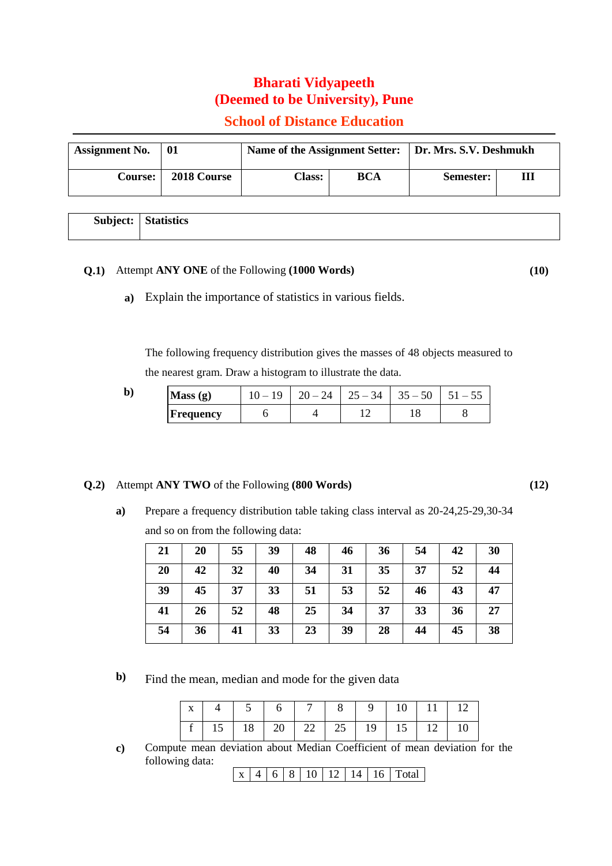## **Bharati Vidyapeeth (Deemed to be University), Pune**

## **School of Distance Education**

| <b>Assignment No.</b> | 01          |               |     | Name of the Assignment Setter:   Dr. Mrs. S.V. Deshmukh |   |  |
|-----------------------|-------------|---------------|-----|---------------------------------------------------------|---|--|
| Course:               | 2018 Course | <b>Class:</b> | BCA | Semester:                                               | Ш |  |

|  | <b>Subject:</b> Statistics |
|--|----------------------------|
|  |                            |

## **Q.1)** Attempt **ANY ONE** of the Following **(1000 Words) (10)**

**a)** Explain the importance of statistics in various fields.

The following frequency distribution gives the masses of 48 objects measured to the nearest gram. Draw a histogram to illustrate the data.

| $\mathbf b$ | Mass(g)   |  | 34<br>25<br>$\overline{\phantom{0}}$<br>$J^-$ | 50<br>35 |  |
|-------------|-----------|--|-----------------------------------------------|----------|--|
|             | Frequency |  |                                               | 10       |  |

## **Q.2)** Attempt **ANY TWO** of the Following **(800 Words) (12)**

**a)** Prepare a frequency distribution table taking class interval as 20-24,25-29,30-34 and so on from the following data:

| 21 | 20 | 55 | 39 | 48 | 46 | 36 | 54 | 42 | 30 |
|----|----|----|----|----|----|----|----|----|----|
| 20 | 42 | 32 | 40 | 34 | 31 | 35 | 37 | 52 | 44 |
| 39 | 45 | 37 | 33 | 51 | 53 | 52 | 46 | 43 | 47 |
| 41 | 26 | 52 | 48 | 25 | 34 | 37 | 33 | 36 | 27 |
| 54 | 36 | 41 | 33 | 23 | 39 | 28 | 44 | 45 | 38 |

**b**) Find the mean, median and mode for the given data

|  | $x   4   5   6   7   8   9   10   11   12$ |  |  |  |  |
|--|--------------------------------------------|--|--|--|--|
|  |                                            |  |  |  |  |

**c)** Compute mean deviation about Median Coefficient of mean deviation for the following data:

| - 1 |  | $\Omega$ |  | $\vert$ 12 | 11 |  | งfal |
|-----|--|----------|--|------------|----|--|------|
|-----|--|----------|--|------------|----|--|------|